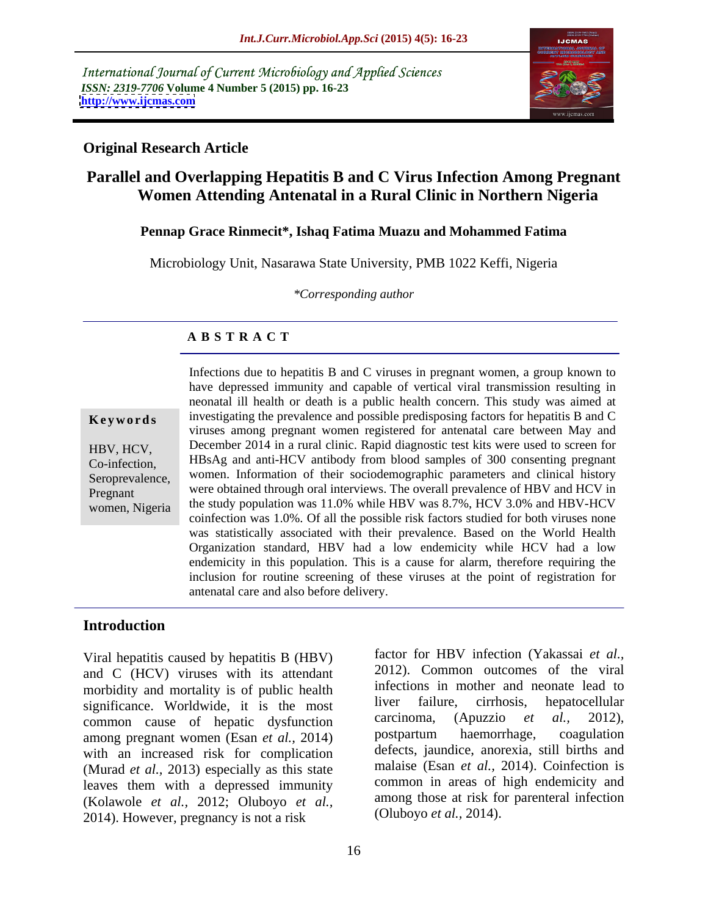International Journal of Current Microbiology and Applied Sciences *ISSN: 2319-7706* **Volume 4 Number 5 (2015) pp. 16-23 <http://www.ijcmas.com>**



### **Original Research Article**

# **Parallel and Overlapping Hepatitis B and C Virus Infection Among Pregnant Women Attending Antenatal in a Rural Clinic in Northern Nigeria**

### **Pennap Grace Rinmecit\*, Ishaq Fatima Muazu and Mohammed Fatima**

Microbiology Unit, Nasarawa State University, PMB 1022 Keffi, Nigeria

*\*Corresponding author*

### **A B S T R A C T**

women, Nigeria

Infections due to hepatitis B and C viruses in pregnant women, a group known to have depressed immunity and capable of vertical viral transmission resulting in neonatal ill health or death is a public health concern. This study was aimed at investigating the prevalence and possible predisposing factors for hepatitis B and C **Ke ywo rds** viruses among pregnant women registered for antenatal care between May and HBV, HCV, December 2014 in a rural clinic. Rapid diagnostic test kits were used to screen for HBsAg and anti-HCV antibody from blood samples of 300 consenting pregnant Co-infection, Seroprevalence, women. Information of their sociodemographic parameters and clinical history Pregnant were obtained through oral interviews. The overall prevalence of HBV and HCV in the study population was 11.0% while HBV was 8.7%, HCV 3.0% and HBV-HCV coinfection was 1.0%. Of all the possible risk factors studied for both viruses none was statistically associated with their prevalence. Based on the World Health Organization standard, HBV had a low endemicity while HCV had a low endemicity in this population. This is a cause for alarm, therefore requiring the inclusion for routine screening of these viruses at the point of registration for antenatal care and also before delivery.

### **Introduction**

Viral hepatitis caused by hepatitis B (HBV) and C (HCV) viruses with its attendant morbidity and mortality is of public health<br>significance. Worldwide it is the most liver failure, cirrhosis, hepatocellular significance. Worldwide, it is the most liver failure, cirrhosis, hepatocellular common cause of hepatic dysfunction carcinoma, (Apuzzio *et al.*, 2012), common cause of hepatic dysfunction<br>among example and  $\alpha t$  and  $\alpha t$  and  $\alpha t$  and  $\alpha t$  architectum contracts. Coagulation among pregnant women (Esan *et al.,* 2014) with an increased risk for complication (Murad *et al.,* 2013) especially as this state leaves them with a depressed immunity (Kolawole *et al.,* 2012; Oluboyo *et al.,* 2014). However, pregnancy is not a risk

factor for HBV infection (Yakassai *et al.,* 2012). Common outcomes of the viral infections in mother and neonate lead to liver failure, cirrhosis, hepatocellular carcinoma, (Apuzzio *et al.,* 2012), postpartum haemorrhage, coagulation defects, jaundice, anorexia, still births and malaise (Esan *et al.*, 2014). Coinfection is common in areas of high endemicity and among those at risk for parenteral infection (Oluboyo *et al.,* 2014).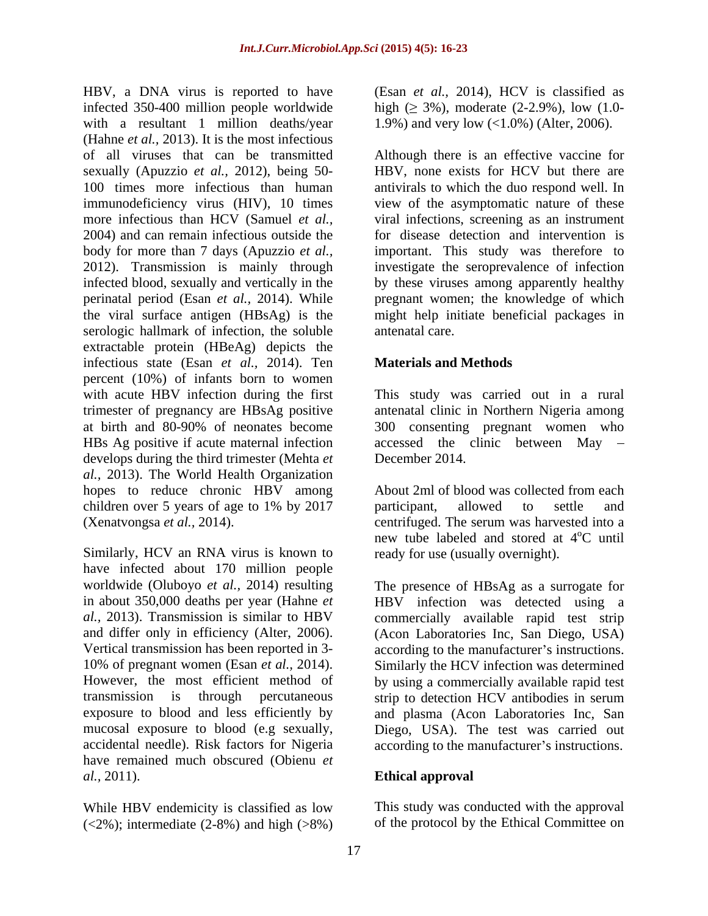HBV, a DNA virus is reported to have (Esan *et al.,* 2014), HCV is classified as infected 350-400 million people worldwide with a resultant 1 million deaths/year (Hahne *et al.,* 2013). It is the most infectious of all viruses that can be transmitted Although there is an effective vaccine for sexually (Apuzzio *et al.*, 2012), being 50-100 times more infectious than human antivirals to which the duo respond well. In immunodeficiency virus (HIV), 10 times view of the asymptomatic nature of these more infectious than HCV (Samuel *et al.,* viral infections, screening as an instrument 2004) and can remain infectious outside the for disease detection and intervention is body for more than 7 days (Apuzzio *et al.*, important. This study was therefore to 2012). Transmission is mainly through investigate the seroprevalence of infection infected blood, sexually and vertically in the by these viruses among apparently healthy perinatal period (Esan *et al.*, 2014). While **pregnant women**; the knowledge of which the viral surface antigen (HBsAg) is the might help initiate beneficial packages in serologic hallmark of infection, the soluble antenatal care. extractable protein (HBeAg) depicts the infectious state (Esan *et al.,* 2014). Ten percent (10%) of infants born to women with acute HBV infection during the first This study was carried out in a rural trimester of pregnancy are HBsAg positive antenatal clinic in Northern Nigeria among at birth and 80-90% of neonates become 300 consenting pregnant women who HBs Ag positive if acute maternal infection accessed the clinic between May develops during the third trimester (Mehta *et al.,* 2013). The World Health Organization hopes to reduce chronic HBV among About 2ml of blood was collected from each children over 5 years of age to 1% by 2017 and participant, allowed to settle and

Similarly, HCV an RNA virus is known to have infected about 170 million people accidental needle). Risk factors for Nigeria according to the manufacturer's instructions. have remained much obscured (Obienu *et al.,* 2011). **Ethical approval**

While HBV endemicity is classified as low  $(<2\%)$ ; intermediate  $(2-8\%)$  and high  $(>8\%)$  high  $( \geq 3\%)$ , moderate  $(2-2.9\%)$ , low  $(1.0-$ 1.9%) and very low (<1.0%) (Alter, 2006).

HBV, none exists for HCV but there are antenatal care.

## **Materials and Methods**

December 2014.

(Xenatvongsa *et al.,* 2014). centrifuged. The serum was harvested into a About 2ml of blood was collected from each participant, allowed to settle and new tube labeled and stored at 4°C until <sup>o</sup>C until ready for use (usually overnight).

worldwide (Oluboyo *et al.,* 2014) resulting The presence of HBsAg as a surrogate for in about 350,000 deaths per year (Hahne *et*  HBV infection was detected using a *al.,* 2013). Transmission is similar to HBV commercially available rapid test strip and differ only in efficiency (Alter, 2006). (Acon Laboratories Inc, San Diego, USA) Vertical transmission has been reported in 3- according to the manufacturer's instructions. 10% of pregnant women (Esan *et al.,* 2014). Similarly the HCV infection was determined However, the most efficient method of by using a commercially available rapid test transmission is through percutaneous strip to detection HCV antibodies in serum exposure to blood and less efficiently by and plasma (Acon Laboratories Inc, San mucosal exposure to blood (e.g sexually, Diego, USA). The test was carried out

This study was conducted with the approval of the protocol by the Ethical Committee on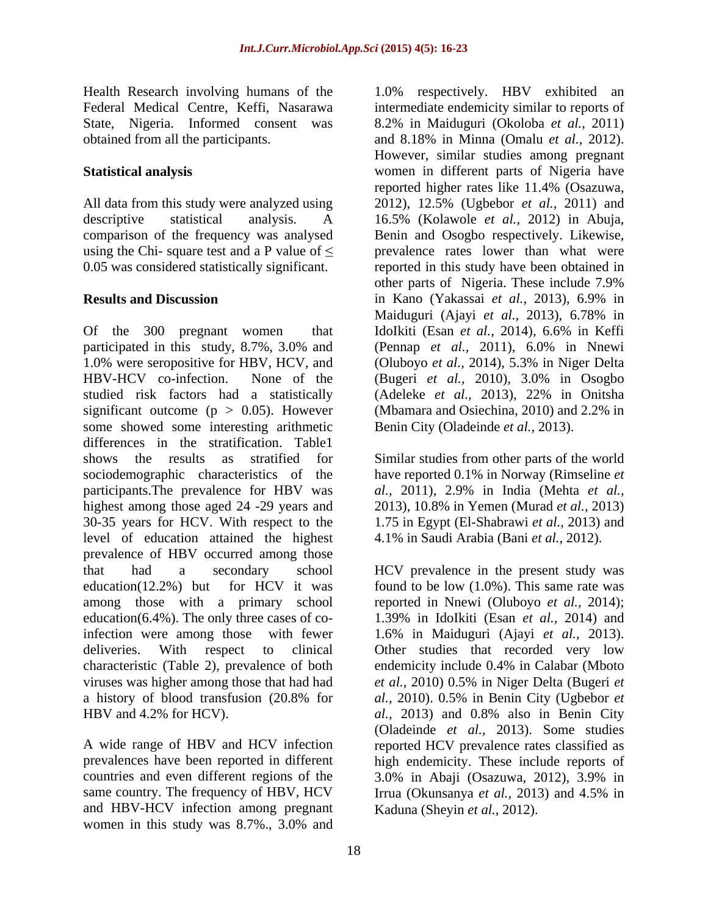some showed some interesting arithmetic differences in the stratification. Table1 shows the results as stratified for Similar studies from other parts of the world sociodemographic characteristics of the have reported 0.1% in Norway (Rimseline *et*  participants.The prevalence for HBV was *al.,* 2011), 2.9% in India (Mehta *et al.,* highest among those aged 24 -29 years and 2013), 10.8% in Yemen (Murad *et al.,* 2013) 30-35 years for HCV. With respect to the level of education attained the highest prevalence of HBV occurred among those that had a secondary school HCV prevalence in the present study was education(12.2%) but for HCV it was found to be low (1.0%). This same rate was among those with a primary school reported in Nnewi (Oluboyo *et al.,* 2014); education(6.4%). The only three cases of coinfection were among those with fewer 1.6% in Maiduguri (Ajayi *et al.,* 2013). deliveries. With respect to clinical Other studies that recorded very low characteristic (Table 2), prevalence of both viruses was higher among those that had had *et al.,* 2010) 0.5% in Niger Delta (Bugeri *et*  a history of blood transfusion (20.8% for *al.,* 2010). 0.5% in Benin City (Ugbebor *et*  HBV and 4.2% for HCV). *al.,* 2013) and 0.8% also in Benin City

countries and even different regions of the  $3.0\%$  in Abaii (Osazuwa, 2012),  $3.9\%$  in and HBV-HCV infection among pregnant women in this study was 8.7%., 3.0% and

Health Research involving humans of the 1.0% respectively. HBV exhibited an Federal Medical Centre, Keffi, Nasarawa intermediate endemicity similar to reports of State, Nigeria. Informed consent was 8.2% in Maiduguri (Okoloba *et al.,* 2011) obtained from all the participants. and 8.18% in Minna (Omalu *et al.,* 2012). **Statistical analysis** women in different parts of Nigeria have All data from this study were analyzed using 2012), 12.5% (Ugbebor *et al.,* 2011) and descriptive statistical analysis. A 16.5% (Kolawole *et al.,* 2012) in Abuja, comparison of the frequency was analysed Benin and Osogbo respectively. Likewise, using the Chi- square test and a P value of  $\leq$  prevalence rates lower than what were 0.05 was considered statistically significant. reported in this study have been obtained in **Results and Discussion** in Kano (Yakassai et al., 2013), 6.9% in Of the 300 pregnant women that IdoIkiti (Esan *et al.*, 2014), 6.6% in Keffi participated in this study, 8.7%, 3.0% and (Pennap et al., 2011), 6.0% in Nnewi 1.0% were seropositive for HBV, HCV, and (Oluboyo *et al.,* 2014), 5.3% in Niger Delta HBV-HCV co-infection. None of the (Bugeri *et al.,* 2010), 3.0% in Osogbo studied risk factors had a statistically (Adeleke *et al.,* 2013), 22% in Onitsha significant outcome (p > 0.05). However (Mbamara and Osiechina, 2010) and 2.2% in However, similar studies among pregnant reported higher rates like 11.4% (Osazuwa, other parts of Nigeria. These include 7.9% in Kano (Yakassai *et al.,* 2013), 6.9% in Maiduguri (Ajayi *et al.,* 2013), 6.78% in (Pennap *et al.,* 2011), 6.0% in Nnewi Benin City (Oladeinde *et al.,* 2013).

> 1.75 in Egypt (El-Shabrawi *et al.,* 2013) and 4.1% in Saudi Arabia (Bani *et al.,* 2012).

A wide range of HBV and HCV infection reported HCV prevalence rates classified as prevalences have been reported in different high endemicity. These include reports of same country. The frequency of HBV, HCV Irrua (Okunsanya *et al.,* 2013) and 4.5% in 1.39% in IdoIkiti (Esan *et al.,* 2014) and endemicity include 0.4% in Calabar (Mboto (Oladeinde *et al.,* 2013). Some studies 3.0% in Abaji (Osazuwa,2012), 3.9% in Kaduna (Sheyin *et al.,* 2012).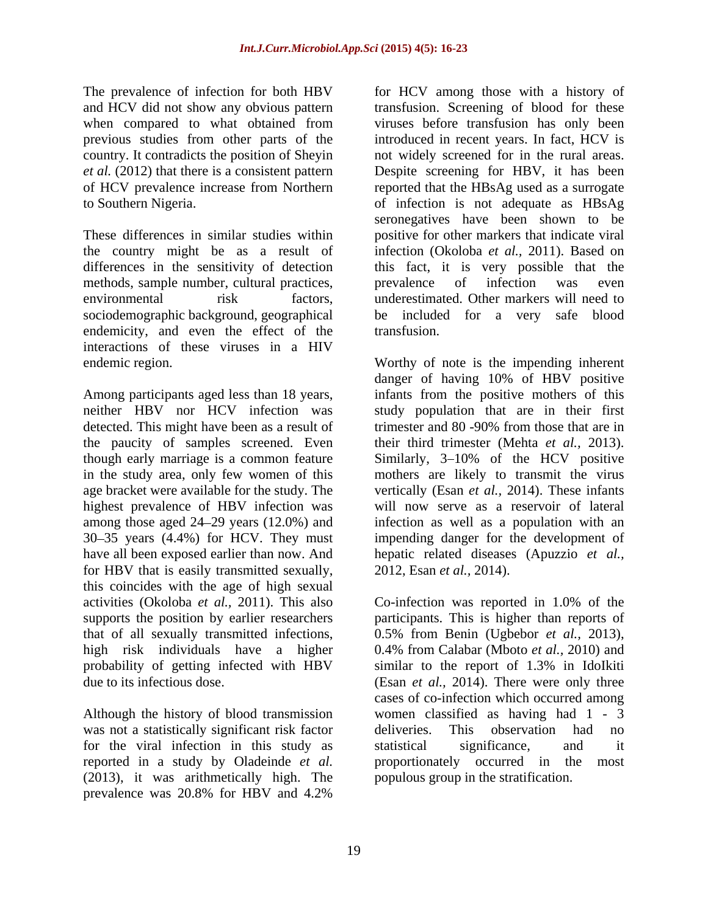methods, sample number, cultural practices, the prevalence of infection was even endemicity, and even the effect of the transfusion. interactions of these viruses in a HIV

among those aged  $24-29$  years  $(12.0\%)$  and for HBV that is easily transmitted sexually, this coincides with the age of high sexual probability of getting infected with HBV similar to the report of 1.3% in IdoIkiti

Although the history of blood transmission was not a statistically significant risk factor deliveries. This observation had no for the viral infection in this study as (2013), it was arithmetically high. The prevalence was 20.8% for HBV and 4.2%

The prevalence of infection for both HBV for HCV among those with a history of and HCV did not show any obvious pattern transfusion. Screening of blood for these when compared to what obtained from viruses before transfusion has only been previous studies from other parts of the introduced in recent years. In fact, HCV is country. It contradicts the position of Sheyin not widely screened for in the rural areas. *et al.* (2012) that there is a consistent pattern Despite screening for HBV, it has been of HCV prevalence increase from Northern reported that the HBsAg used as a surrogate to Southern Nigeria. of infection is not adequate as HBsAg These differences in similar studies within positive for other markers that indicate viral the country might be as a result of infection (Okoloba *et al.,* 2011).Based on differences in the sensitivity of detection this fact, it is very possible that the environmental risk factors, underestimated. Other markers will need to sociodemographic background, geographical be included for a very safe blood viruses before transfusion has only been seronegatives have been shown to be prevalence of infection was even transfusion.

endemic region. Worthy of note is the impending inherent Among participants aged less than 18 years, infants from the positive mothers of this neither HBV nor HCV infection was study population that are in their first detected. This might have been as a result of trimester and 80 -90% from those that are in the paucity of samples screened. Even their third trimester (Mehta *et al.*, 2013). though early marriage is a common feature Similarly, 3–10% of the HCV positive in the study area, only few women of this mothers are likely to transmit the virus age bracket were available for the study. The vertically (Esan *et al.,* 2014). These infants highest prevalence of HBV infection was will now serve as a reservoir of lateral 30 35 years (4.4%) for HCV. They must impending danger for the development of have all been exposed earlier than now. And hepatic related diseases (Apuzzio *et al.,* danger of having 10% of HBV positive infection as well as a population with an 2012, Esan *et al.,* 2014).

activities (Okoloba *et al.,* 2011).This also Co-infection was reported in 1.0% of the supports the position by earlier researchers participants. This is higher than reports of that of all sexually transmitted infections, 0.5% from Benin (Ugbebor *et al.,* 2013), high risk individuals have a higher 0.4% from Calabar (Mboto *et al.,* 2010) and due to its infectious dose. (Esan *et al.,* 2014). There were only three reported in a study by Oladeinde *et al.* proportionately occurred in the most similar to the report of 1.3% in IdoIkiti cases of co-infection which occurred among women classified as having had 1 - 3 deliveries. This observation had no statistical significance, and it populous group in the stratification.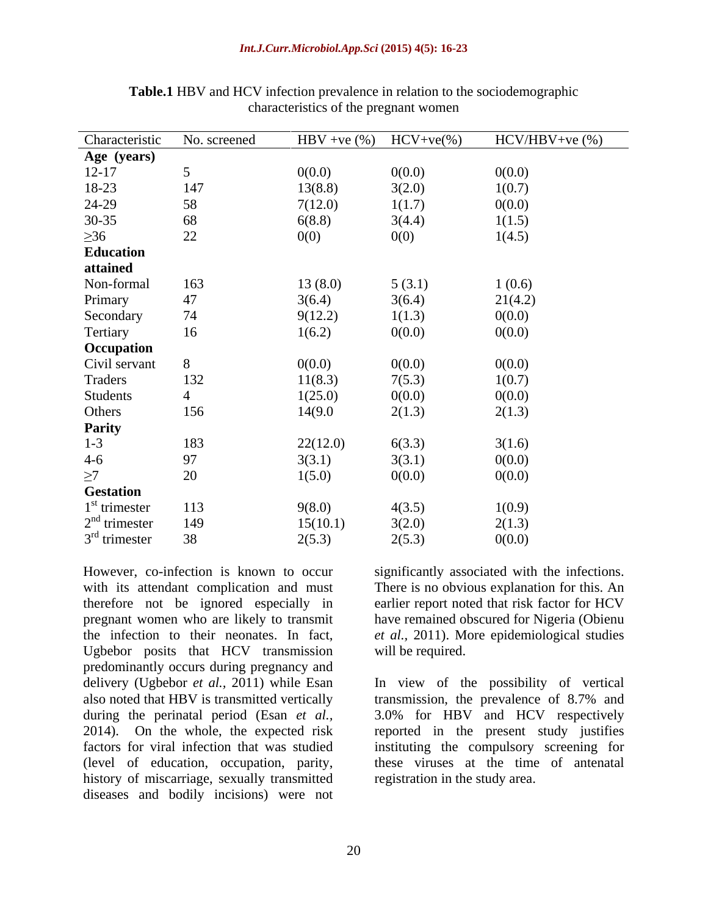| Characteristic   | No. screened    | $HBV + ve$ (%) | $HCV+ve(\%)$ | $HCV/HBV+ve$ $%$ |
|------------------|-----------------|----------------|--------------|------------------|
| Age (years)      |                 |                |              |                  |
| $12 - 17$        | $5\overline{)}$ | 0(0.0)         | 0(0.0)       | 0(0.0)           |
| 18-23            | 147             | 13(8.8)        | 3(2.0)       | 1(0.7)           |
| 24-29            | 58              | 7(12.0)        | 1(1.7)       | 0(0.0)           |
| $30 - 35$        | 68              | 6(8.8)         | 3(4.4)       | 1(1.5)           |
| $\geq 36$        | 22              | 0(0)           | 0(0)         | 1(4.5)           |
| Education        |                 |                |              |                  |
| attained         |                 |                |              |                  |
| Non-formal       | 163             | 13(8.0)        | 5(3.1)       | 1(0.6)           |
| Primary          | $47\,$          | 3(6.4)         | 3(6.4)       | 21(4.2)          |
| Secondary        | 74              | 9(12.2)        | 1(1.3)       | 0(0.0)           |
| Tertiary         | 16              | 1(6.2)         | 0(0.0)       | 0(0.0)           |
| Occupation       |                 |                |              |                  |
| Civil servant    | 8               | 0(0.0)         | 0(0.0)       | 0(0.0)           |
| Traders          | 132             | 11(8.3)        | 7(5.3)       | 1(0.7)           |
| Students         | $\overline{4}$  | 1(25.0)        | 0(0.0)       | 0(0.0)           |
| Others           | 156             | 14(9.0         | 2(1.3)       | 2(1.3)           |
| <b>Parity</b>    |                 |                |              |                  |
| $1 - 3$          | 183             | 22(12.0)       | 6(3.3)       | 3(1.6)           |
| $4-6$            | 97              | 3(3.1)         | 3(3.1)       | 0(0.0)           |
| $\geq$ 7         | 20              | 1(5.0)         | 0(0.0)       | 0(0.0)           |
| <b>Gestation</b> |                 |                |              |                  |
| $1st$ trimester  | 113             | 9(8.0)         | 4(3.5)       | 1(0.9)           |
| $2nd$ trimester  | 149             | 15(10.1)       | 3(2.0)       | 2(1.3)           |
| $3rd$ trimester  | 38              | 2(5.3)         | 2(5.3)       | 0(0.0)           |

**Table.1** HBV and HCV infection prevalence in relation to the sociodemographic characteristics of the pregnant women

However, co-infection is known to occur significantly associated with the infections. with its attendant complication and must therefore not be ignored especially in earlier report noted that risk factor for HCV pregnant women who are likely to transmit have remained obscured for Nigeria (Obienu the infection to their neonates. In fact, *et al.,* 2011). More epidemiological studies Ugbebor posits that HCV transmission predominantly occurs during pregnancy and (level of education, occupation, parity, history of miscarriage, sexually transmitted diseases and bodily incisions) were not

There is no obvious explanation for this. An will be required.

delivery (Ugbebor *et al.,* 2011) while Esan In view of the possibility of vertical also noted that HBV is transmitted vertically transmission, the prevalence of 8.7% and during the perinatal period (Esan *et al.,* 3.0% for HBV and HCV respectively 2014). On the whole, the expected risk reported in the present study justifies factors for viral infection that was studied instituting the compulsory screening for these viruses at the time of antenatal registration in the study area.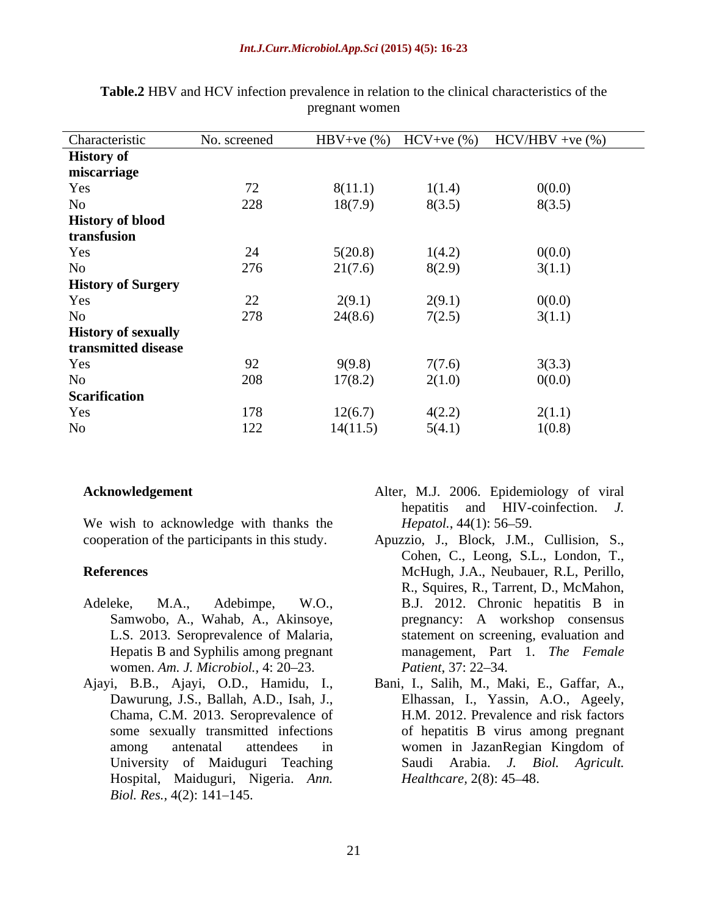### *Int.J.Curr.Microbiol.App.Sci* **(2015) 4(5): 16-23**

| Characteristic             | No. screened | HBV+ve $(\%)$ | $HCV+ve$ $%$ | $HCV/HBV +ve$ (%) |
|----------------------------|--------------|---------------|--------------|-------------------|
| <b>History of</b>          |              |               |              |                   |
| miscarriage                |              |               |              |                   |
| Yes                        | 72           | 8(11.1)       | 1(1.4)       | 0(0.0)            |
| No                         | 228          | 18(7.9)       | 8(3.5)       | 8(3.5)            |
| <b>History of blood</b>    |              |               |              |                   |
| transfusion                |              |               |              |                   |
| Yes                        | 24           | 5(20.8)       | 1(4.2)       | 0(0.0)            |
| No                         | 276          | 21(7.6)       | 8(2.9)       | 3(1.1)            |
| <b>History of Surgery</b>  |              |               |              |                   |
| Yes                        | 22           | 2(9.1)        | 2(9.1)       | 0(0.0)            |
| No                         | 278          | 24(8.6)       | 7(2.5)       | 3(1.1)            |
| <b>History of sexually</b> |              |               |              |                   |
| transmitted disease        |              |               |              |                   |
| Yes                        | 92           | 9(9.8)        | 7(7.6)       | 3(3.3)            |
| No                         | 208          | 17(8.2)       | 2(1.0)       | 0(0.0)            |
| <b>Scarification</b>       |              |               |              |                   |
| Yes                        | 178          | 12(6.7)       | 4(2.2)       | 2(1.1)            |
| No                         | 122          | 14(11.5)      | 5(4.1)       | 1(0.8)            |

**Table.2** HBV and HCV infection prevalence in relation to the clinical characteristics of the pregnant women

We wish to acknowledge with thanks the  $Hepatol.$ , 44(1): 56–59.

- L.S. 2013. Seroprevalence of Malaria, women. *Am. J. Microbiol.*, 4: 20–23. *Patient*, 37: 22–34.
- Ajayi, B.B., Ajayi, O.D., Hamidu, I., Bani, I., Salih, M., Maki, E., Gaffar, A., Dawurung, J.S., Ballah, A.D., Isah, J., Chama, C.M. 2013. Seroprevalence of Hospital, Maiduguri, Nigeria. *Ann.*
- **Acknowledgement** 2006. Epidemiology of viral hepatitis and HIV-coinfection. *J. Hepatol.*, 44(1): 56–59.
- cooperation of the participants in this study. Apuzzio, J., Block, J.M., Cullision, S., **References** McHugh, J.A., Neubauer, R.L, Perillo, Adeleke, M.A., Adebimpe, W.O., B.J. 2012. Chronic hepatitis B in Samwobo, A., Wahab, A., Akinsoye, pregnancy: A workshop consensus Hepatis B and Syphilis among pregnant management, Part 1. *The Female* **Alter, M.J. 2006.** Epidemiology of viral<br>
wish to acknowledge with thanks the<br> *Biol.* Aqt (1): 56–59.<br>
Papartol, 44(1): 56–59.<br>
Examion of the participants in this study.<br>
Apuzzio, J., Block, J.M., Cullision, S.,<br>
Cohen, Cohen, C., Leong, S.L., London, T., R., Squires, R., Tarrent, D., McMahon, statement on screening, evaluation and *Patient*, 37: 22–34.
	- some sexually transmitted infections of hepatitis B virus among pregnant among antenatal attendees in women in JazanRegian Kingdom of University of Maiduguri Teaching Saudi Arabia. J. Biol. Agricult. Elhassan, I., Yassin, A.O., Ageely, H.M. 2012. Prevalence and risk factors women in JazanRegian Kingdom of Arabia. *J. Biol. Healthcare,* 2(8): 45–48.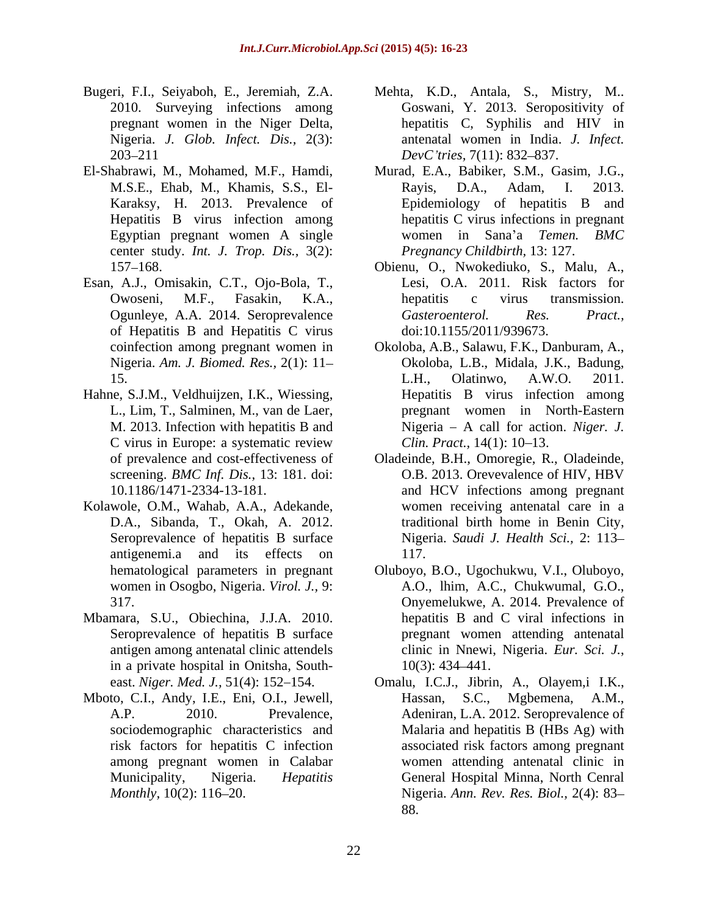- Bugeri, F.I., Seiyaboh, E., Jeremiah, Z.A. Mehta, K.D., Antala, S., Mistry, M.. pregnant women in the Niger Delta,  $203-211$   $DevC' tries, 7(11): 832-837.$
- Hepatitis B virus infection among Egyptian pregnant women A single center study. *Int. J. Trop. Dis.,* 3(2):
- Esan, A.J., Omisakin, C.T., Ojo-Bola, T., of Hepatitis B and Hepatitis C virus
- Hahne, S.J.M., Veldhuijzen, I.K., Wiessing, C virus in Europe: a systematic review Clin. Pract., 14(1): 10–13.
- Kolawole, O.M., Wahab, A.A., Adekande, antigenemi.a and its effects on 117.
- Mbamara, S.U., Obiechina, J.J.A. 2010. in a private hospital in Onitsha, South-
- Mboto, C.I., Andy, I.E., Eni, O.I., Jewell,
- 2010. Surveying infections among Goswani, Y. 2013. Seropositivity of Nigeria. *J. Glob. Infect. Dis.,* 2(3): antenatal women in India. *J. Infect.* hepatitis C, Syphilis and HIV in *DevC tries,* 7(11): 832–837.
- El-Shabrawi, M., Mohamed, M.F., Hamdi, Murad, E.A., Babiker, S.M., Gasim, J.G., M.S.E., Ehab, M., Khamis, S.S., El- Karaksy, H. 2013. Prevalence of Epidemiology of hepatitis B and Rayis, D.A., Adam, I. 2013. hepatitis C virus infections in pregnant women in Sana'a *Temen. BMC Pregnancy Childbirth,* 13: 127.
	- 157–168. Objenu, O., Nwokediuko, S., Malu, A., Owoseni, M.F., Fasakin, K.A., Ogunleye, A.A. 2014. Seroprevalence Obienu, O., Nwokediuko, S., Malu, A., Lesi, O.A. 2011. Risk factors for hepatitis c virus transmission. *Gasteroenterol. Res. Pract.,* doi:10.1155/2011/939673.
	- coinfection among pregnant women in Okoloba, A.B., Salawu, F.K., Danburam, A., Nigeria. *Am. J. Biomed. Res.,* 2(1): 11 Okoloba, L.B., Midala, J.K., Badung, 15. L.H., Olatinwo, A.W.O. 2011. L., Lim, T., Salminen, M., van de Laer, pregnant women in North-Eastern M. 2013. Infection with hepatitis B and Nigeria – A call for action. Niger. J. L.H., Olatinwo, A.W.O. 2011. Hepatitis B virus infection among Nigeria – A call for action. *Niger. J. Clin. Pract.*, 14(1): 10–13.
	- of prevalence and cost-effectivenessof Oladeinde, B.H., Omoregie, R., Oladeinde, screening. *BMC Inf. Dis.*, 13: 181. doi: O.B. 2013. Orevevalence of HIV, HBV 10.1186/1471-2334-13-181. and HCV infections among pregnant D.A., Sibanda, T., Okah, A. 2012. traditional birth home in Benin City, Seroprevalence of hepatitis B surface Nigeria. *Saudi J. Health Sci.,* 2: 113 O.B. 2013. Orevevalence of HIV, HBV women receiving antenatal care in a 117.
	- hematological parameters in pregnant Oluboyo, B.O., Ugochukwu, V.I., Oluboyo, women in Osogbo, Nigeria. *Virol. J.,* 9: A.O., lhim, A.C., Chukwumal, G.O., 317. Onyemelukwe, A. 2014. Prevalence of Seroprevalence of hepatitis B surface pregnant women attending antenatal antigen among antenatal clinic attendels clinic in Nnewi, Nigeria. Eur. Sci. J., hepatitis B and C viral infections in clinic in Nnewi, Nigeria. *Eur. Sci. J.*, 10(3): 434 441.
- east. *Niger. Med. J.*, 51(4): 152–154. Omalu, I.C.J., Jibrin, A., Olayem,i I.K., A.P. 2010. Prevalence, Adeniran, L.A. 2012. Seroprevalence of sociodemographic characteristics and Malaria and hepatitis B (HBs Ag) with risk factors for hepatitis C infection associated risk factors among pregnant among pregnant women in Calabar women attending antenatal clinic in Municipality, Nigeria. *Hepatitis*  General Hospital Minna, North Cenral ri, F.I., Sietysbok, E., Mistry, M. Mila, K.D., Antala, S., Mistry, M. Mistry, M. Mistry, M. Mistry, Mistry, Mistry, Mistry, Hepatitis C. Sphittis and III's increase the Night Day in the Night Day in the Night Day in the N Hassan, S.C., Mgbemena, A.M., Nigeria. *Ann. Rev. Res. Biol.,* 2(4): 83 88.